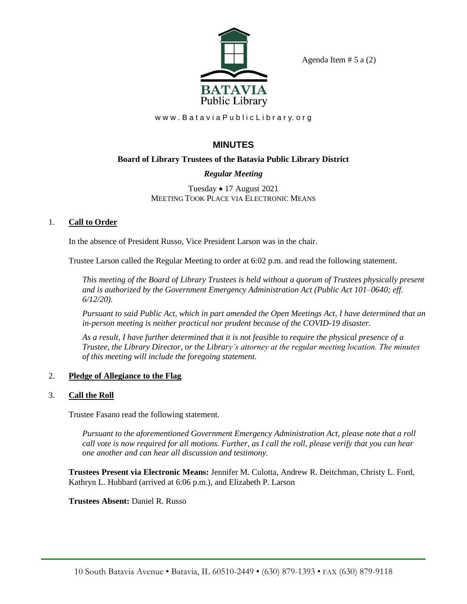

Agenda Item  $# 5$  a  $(2)$ 

www.BataviaPublicLibrary.org

# **MINUTES**

## **Board of Library Trustees of the Batavia Public Library District**

## *Regular Meeting*

Tuesday • 17 August 2021 MEETING TOOK PLACE VIA ELECTRONIC MEANS

## 1. **Call to Order**

In the absence of President Russo, Vice President Larson was in the chair.

Trustee Larson called the Regular Meeting to order at 6:02 p.m. and read the following statement.

*This meeting of the Board of Library Trustees is held without a quorum of Trustees physically present and is authorized by the Government Emergency Administration Act (Public Act 101–0640; eff. 6/12/20).*

*Pursuant to said Public Act, which in part amended the Open Meetings Act, I have determined that an in-person meeting is neither practical nor prudent because of the COVID-19 disaster.*

*As a result, I have further determined that it is not feasible to require the physical presence of a Trustee, the Library Director, or the Library's attorney at the regular meeting location. The minutes of this meeting will include the foregoing statement.*

## 2. **Pledge of Allegiance to the Flag**

## 3. **Call the Roll**

Trustee Fasano read the following statement.

*Pursuant to the aforementioned Government Emergency Administration Act, please note that a roll call vote is now required for all motions. Further, as I call the roll, please verify that you can hear one another and can hear all discussion and testimony.*

**Trustees Present via Electronic Means:** Jennifer M. Culotta, Andrew R. Deitchman, Christy L. Ford, Kathryn L. Hubbard (arrived at 6:06 p.m.), and Elizabeth P. Larson

**Trustees Absent:** Daniel R. Russo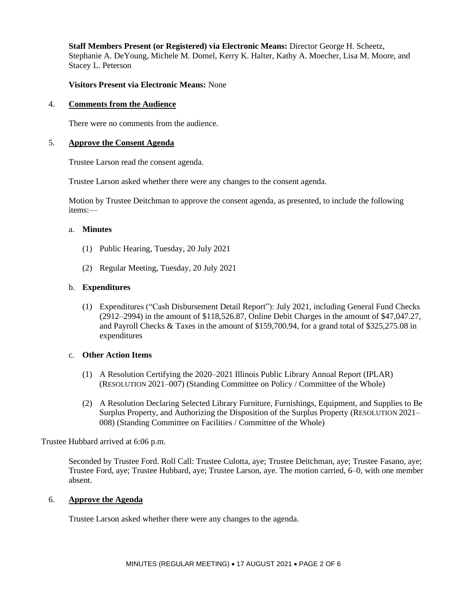**Staff Members Present (or Registered) via Electronic Means:** Director George H. Scheetz, Stephanie A. DeYoung, Michele M. Domel, Kerry K. Halter, Kathy A. Moecher, Lisa M. Moore, and Stacey L. Peterson

### **Visitors Present via Electronic Means:** None

#### 4. **Comments from the Audience**

There were no comments from the audience.

### 5. **Approve the Consent Agenda**

Trustee Larson read the consent agenda.

Trustee Larson asked whether there were any changes to the consent agenda.

Motion by Trustee Deitchman to approve the consent agenda, as presented, to include the following items:—

#### a. **Minutes**

- (1) Public Hearing, Tuesday, 20 July 2021
- (2) Regular Meeting, Tuesday, 20 July 2021

#### b. **Expenditures**

(1) Expenditures ("Cash Disbursement Detail Report"): July 2021, including General Fund Checks (2912–2994) in the amount of \$118,526.87, Online Debit Charges in the amount of \$47,047.27, and Payroll Checks & Taxes in the amount of \$159,700.94, for a grand total of \$325,275.08 in expenditures

#### c. **Other Action Items**

- (1) A Resolution Certifying the 2020–2021 Illinois Public Library Annual Report (IPLAR) (RESOLUTION 2021–007) (Standing Committee on Policy / Committee of the Whole)
- (2) A Resolution Declaring Selected Library Furniture, Furnishings, Equipment, and Supplies to Be Surplus Property, and Authorizing the Disposition of the Surplus Property (RESOLUTION 2021– 008) (Standing Committee on Facilities / Committee of the Whole)

Trustee Hubbard arrived at 6:06 p.m.

Seconded by Trustee Ford. Roll Call: Trustee Culotta, aye; Trustee Deitchman, aye; Trustee Fasano, aye; Trustee Ford, aye; Trustee Hubbard, aye; Trustee Larson, aye. The motion carried, 6–0, with one member absent.

### 6. **Approve the Agenda**

Trustee Larson asked whether there were any changes to the agenda.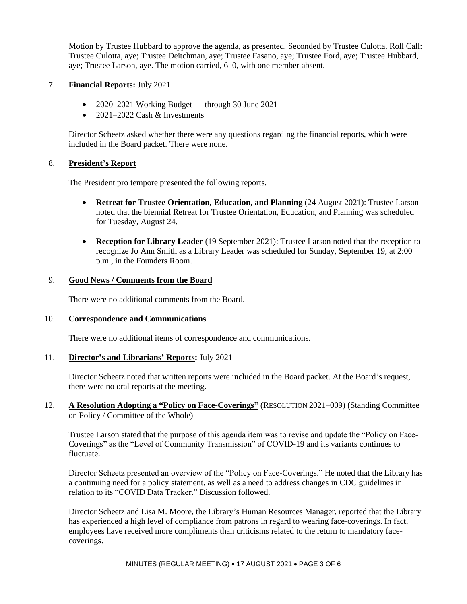Motion by Trustee Hubbard to approve the agenda, as presented. Seconded by Trustee Culotta. Roll Call: Trustee Culotta, aye; Trustee Deitchman, aye; Trustee Fasano, aye; Trustee Ford, aye; Trustee Hubbard, aye; Trustee Larson, aye. The motion carried, 6–0, with one member absent.

### 7. **Financial Reports:** July 2021

- 2020–2021 Working Budget through 30 June 2021
- $2021-2022$  Cash & Investments

Director Scheetz asked whether there were any questions regarding the financial reports, which were included in the Board packet. There were none.

## 8. **President's Report**

The President pro tempore presented the following reports.

- **Retreat for Trustee Orientation, Education, and Planning** (24 August 2021): Trustee Larson noted that the biennial Retreat for Trustee Orientation, Education, and Planning was scheduled for Tuesday, August 24.
- **Reception for Library Leader** (19 September 2021): Trustee Larson noted that the reception to recognize Jo Ann Smith as a Library Leader was scheduled for Sunday, September 19, at 2:00 p.m., in the Founders Room.

### 9. **Good News / Comments from the Board**

There were no additional comments from the Board.

## 10. **Correspondence and Communications**

There were no additional items of correspondence and communications.

### 11. **Director's and Librarians' Reports:** July 2021

Director Scheetz noted that written reports were included in the Board packet. At the Board's request, there were no oral reports at the meeting.

12. **A Resolution Adopting a "Policy on Face-Coverings"** (RESOLUTION 2021–009) (Standing Committee on Policy / Committee of the Whole)

Trustee Larson stated that the purpose of this agenda item was to revise and update the "Policy on Face-Coverings" as the "Level of Community Transmission" of COVID-19 and its variants continues to fluctuate.

Director Scheetz presented an overview of the "Policy on Face-Coverings." He noted that the Library has a continuing need for a policy statement, as well as a need to address changes in CDC guidelines in relation to its "COVID Data Tracker." Discussion followed.

Director Scheetz and Lisa M. Moore, the Library's Human Resources Manager, reported that the Library has experienced a high level of compliance from patrons in regard to wearing face-coverings. In fact, employees have received more compliments than criticisms related to the return to mandatory facecoverings.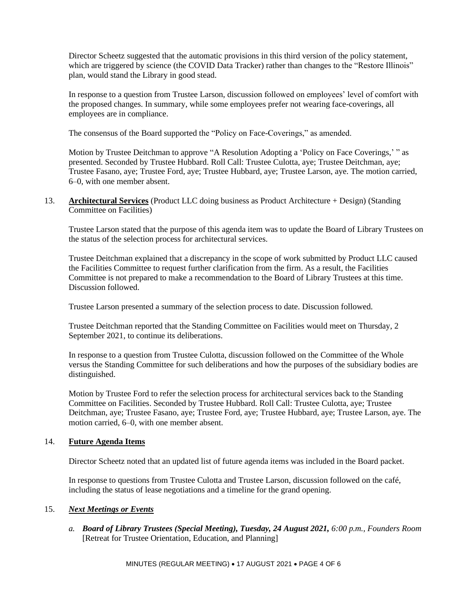Director Scheetz suggested that the automatic provisions in this third version of the policy statement, which are triggered by science (the COVID Data Tracker) rather than changes to the "Restore Illinois" plan, would stand the Library in good stead.

In response to a question from Trustee Larson, discussion followed on employees' level of comfort with the proposed changes. In summary, while some employees prefer not wearing face-coverings, all employees are in compliance.

The consensus of the Board supported the "Policy on Face-Coverings," as amended.

Motion by Trustee Deitchman to approve "A Resolution Adopting a 'Policy on Face Coverings,' " as presented. Seconded by Trustee Hubbard. Roll Call: Trustee Culotta, aye; Trustee Deitchman, aye; Trustee Fasano, aye; Trustee Ford, aye; Trustee Hubbard, aye; Trustee Larson, aye. The motion carried, 6–0, with one member absent.

13. **Architectural Services** (Product LLC doing business as Product Architecture + Design) (Standing Committee on Facilities)

Trustee Larson stated that the purpose of this agenda item was to update the Board of Library Trustees on the status of the selection process for architectural services.

Trustee Deitchman explained that a discrepancy in the scope of work submitted by Product LLC caused the Facilities Committee to request further clarification from the firm. As a result, the Facilities Committee is not prepared to make a recommendation to the Board of Library Trustees at this time. Discussion followed.

Trustee Larson presented a summary of the selection process to date. Discussion followed.

Trustee Deitchman reported that the Standing Committee on Facilities would meet on Thursday, 2 September 2021, to continue its deliberations.

In response to a question from Trustee Culotta, discussion followed on the Committee of the Whole versus the Standing Committee for such deliberations and how the purposes of the subsidiary bodies are distinguished.

Motion by Trustee Ford to refer the selection process for architectural services back to the Standing Committee on Facilities. Seconded by Trustee Hubbard. Roll Call: Trustee Culotta, aye; Trustee Deitchman, aye; Trustee Fasano, aye; Trustee Ford, aye; Trustee Hubbard, aye; Trustee Larson, aye. The motion carried, 6–0, with one member absent.

## 14. **Future Agenda Items**

Director Scheetz noted that an updated list of future agenda items was included in the Board packet.

In response to questions from Trustee Culotta and Trustee Larson, discussion followed on the café, including the status of lease negotiations and a timeline for the grand opening.

## 15. *Next Meetings or Events*

*a. Board of Library Trustees (Special Meeting), Tuesday, 24 August 2021, 6:00 p.m., Founders Room*  [Retreat for Trustee Orientation, Education, and Planning]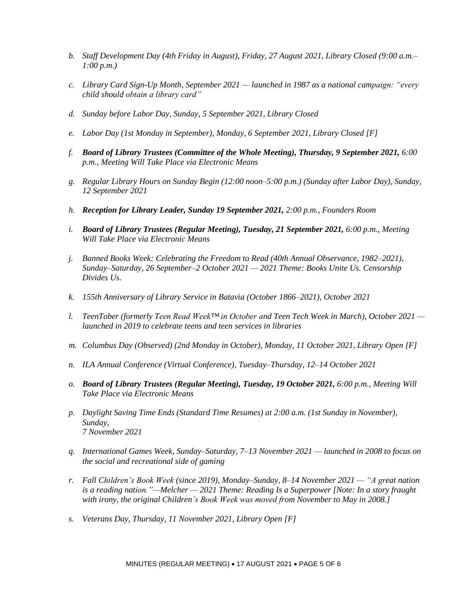- *b. Staff Development Day (4th Friday in August), Friday, 27 August 2021, Library Closed (9:00 a.m.– 1:00 p.m.)*
- *c. Library Card Sign-Up Month, September 2021 — launched in 1987 as a national campaign: "every child should obtain a library card"*
- *d. Sunday before Labor Day, Sunday, 5 September 2021, Library Closed*
- *e. Labor Day (1st Monday in September), Monday, 6 September 2021, Library Closed [F]*
- *f. Board of Library Trustees (Committee of the Whole Meeting), Thursday, 9 September 2021, 6:00 p.m., Meeting Will Take Place via Electronic Means*
- *g. Regular Library Hours on Sunday Begin (12:00 noon–5:00 p.m.) (Sunday after Labor Day), Sunday, 12 September 2021*
- *h. Reception for Library Leader, Sunday 19 September 2021, 2:00 p.m., Founders Room*
- *i. Board of Library Trustees (Regular Meeting), Tuesday, 21 September 2021, 6:00 p.m., Meeting Will Take Place via Electronic Means*
- *j. Banned Books Week: Celebrating the Freedom to Read (40th Annual Observance, 1982–2021), Sunday–Saturday, 26 September–2 October 2021 — 2021 Theme: Books Unite Us. Censorship Divides Us.*
- *k. 155th Anniversary of Library Service in Batavia (October 1866–2021), October 2021*
- *l. TeenTober (formerly Teen Read Week™ in October and Teen Tech Week in March), October 2021 launched in 2019 to celebrate teens and teen services in libraries*
- *m. Columbus Day (Observed) (2nd Monday in October), Monday, 11 October 2021, Library Open [F]*
- *n. ILA Annual Conference (Virtual Conference), Tuesday–Thursday, 12–14 October 2021*
- *o. Board of Library Trustees (Regular Meeting), Tuesday, 19 October 2021, 6:00 p.m., Meeting Will Take Place via Electronic Means*
- *p. Daylight Saving Time Ends (Standard Time Resumes) at 2:00 a.m. (1st Sunday in November), Sunday, 7 November 2021*
- *q. International Games Week, Sunday–Saturday, 7–13 November 2021 — launched in 2008 to focus on the social and recreational side of gaming*
- *r. Fall Children's Book Week (since 2019), Monday–Sunday, 8–14 November 2021 — "A great nation is a reading nation."—Melcher — 2021 Theme: Reading Is a Superpower [Note: In a story fraught with irony, the original Children's Book Week was moved from November to May in 2008.]*
- *s. Veterans Day, Thursday, 11 November 2021, Library Open [F]*